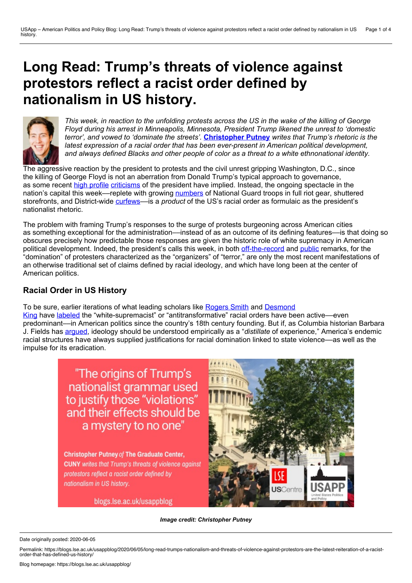## **Long Read: Trump's threats of violence against protestors reflect a racist order defined by nationalism in US history.**



This week, in reaction to the unfolding protests across the US in the wake of the killing of George *Floyd during his arrest in Minneapolis, Minnesota, President Trump likened the unrest to 'domestic terror', and vowed to 'dominate the streets'.* **[Christopher](https://wp.me/p3I2YF-a0c#Author) Putney** *writes that Trump's rhetoric is the latest expression of a racial order that has been ever-present in American political development, and always defined Blacks and other people of color as a threat to a white ethnonational identity.*

The aggressive reaction by the president to protests and the civil unrest gripping Washington, D.C., since the killing of George Floyd is not an aberration from Donald Trump's typical approach to governance, as some recent high [profile](https://www.theatlantic.com/politics/archive/2020/06/james-mattis-denounces-trump-protests-militarization/612640/) [criticisms](https://thehill.com/homenews/senate/500731-susan-collins-criticizes-trumps-painful-treatment-of-protesters) of the president have implied. Instead, the ongoing spectacle in the nation's capital this week—replete with growing [numbers](https://www.washingtonpost.com/local/public-safety/hundreds-of-national-guard-troops-flow-into-dc-from-around-the-country/2020/06/02/b97a1626-a521-11ea-bb20-ebf0921f3bbd_story.html) of National Guard troops in full riot gear, shuttered storefronts, and District-wide [curfews–](https://www.washingtonpost.com/local/dc-mayor-announces-new-curfew-beginning-at-7-pm/2020/06/01/6e70fba5-a5cc-4695-a5ad-eafd8a30c65c_video.html)–is a *product* of the US's racial order as formulaic as the president's nationalist rhetoric.

The problem with framing Trump's responses to the surge of protests burgeoning across American cities as something exceptional for the administration—instead of as an outcome of its defining features—is that doing so obscures precisely how predictable those responses are given the historic role of white supremacy in American political development. Indeed, the president's calls this week, in both [off-the-record](https://www.washingtonpost.com/video/politics/full-call-audio-trump-berates-governors-over-protests/2020/06/01/1e6e9fb6-bd8f-4349-a5ff-5bedde5b8516_video.html) and [public](https://www.foxnews.com/politics/trump-vows-to-mobilize-federal-resources-to-end-riots-i-will-fight-to-protect-you) remarks, for the "domination" of protesters characterized as the "organizers" of "terror," are only the most recent manifestations of an otherwise traditional set of claims defined by racial ideology, and which have long been at the center of American politics.

## **Racial Order in US History**

To be sure, earlier iterations of what leading scholars like [Rogers](https://live-sas-www-polisci.pantheon.sas.upenn.edu/people/standing-faculty/rogers-smith) Smith and Desmond

King have [labeled](https://www.jstor.org/stable/30038920?seq=1#metadata_info_tab_contents) the ["white-supremacist"](https://www.politics.ox.ac.uk/academic-faculty/desmond-king.html) or "antitransformative" racial orders have been active—even predominant––in American politics since the country's 18th century founding. But if, as Columbia historian Barbara J. Fields has [argued](https://newleftreview.org/issues/I181/articles/barbara-jeanne-fields-slavery-race-and-ideology-in-the-united-states-of-america), ideology should be understood empirically as a "*distillate* of experience," America's endemic racial structures have always supplied justifications for racial domination linked to state violence––as well as the impulse for its eradication.

> "The origins of Trump's nationalist grammar used to justify those "violations" and their effects should be a mystery to no one"

**Christopher Putney of The Graduate Center, CUNY** writes that Trump's threats of violence against protestors reflect a racist order defined by nationalism in US history.

blogs.lse.ac.uk/usappblog



*Image credit: Christopher Putney*

Date originally posted: 2020-06-05

Permalink: https://blogs.lse.ac.uk/usappblog/2020/06/05/long-read-trumps-nationalism-and-threats-of-violence-against-protestors-are-the-latest-reiteration-of-a-racist- order-that-has-defined-us-history/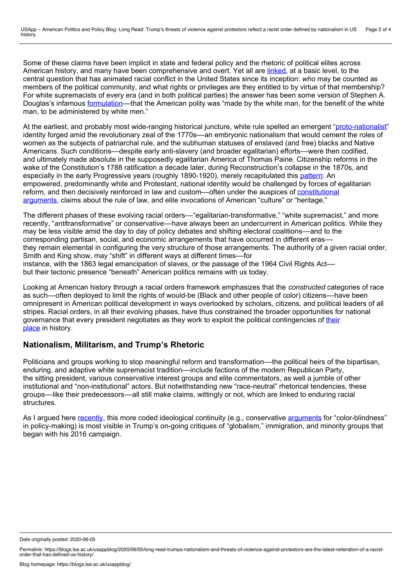Some of these claims have been implicit in state and federal policy and the rhetoric of political elites across American history, and many have been comprehensive and overt. Yet all are [linked,](https://www.jstor.org/stable/2938735?seq=1#metadata_info_tab_contents) at a basic level, to the central question that has animated racial conflict in the United States since its inception: *who* may be counted as members of the political community, and what rights or privileges are they entitled to by virtue of that membership? For white supremacists of every era (and in both political parties) the answer has been some version of Stephen A. Douglas's infamous [formulation](https://books.google.com/books?id=VOw7DwAAQBAJ&pg=PT47&lpg=PT47&dq=%25E2%2580%259Cmade+by+the+white+man,+for+the+benefit+of+the+white+man,+to+be+administered+by+white+men.%25E2%2580%259D&source=bl&ots=ytdwUByu6n&sig=ACfU3U34Y9BdcCAY4xNTEHVhdypq7CLI3A&hl=en&sa=X&ved=2ahUKEwihzryKlenpAhVtj3IEHRKpA3sQ6AEwAHoECAgQAQ#v=onepage&q=%25E2%2580%259Cmade%20by%20the%20white%20man%252C%20for%20the%20benefit%20of%20the%20white%20man%252C%20to%20be%20administered%20by%20white%20men.%25E2%2580%259D&f=false)—that the American polity was "made by the white man, for the benefit of the white man, to be administered by white men."

At the earliest, and probably most wide-ranging historical juncture, white rule spelled an emergent "[proto-nationalist](https://www.jstor.org/stable/j.ctt32bh0k.7?refreqid=excelsior%253A9dba5cbb3b354a38e7145069fe65eb60&seq=1#metadata_info_tab_contents)" identity forged amid the revolutionary zeal of the 1770s––an embryonic nationalism that would cement the roles of women as the subjects of patriarchal rule, and the subhuman statuses of enslaved (and free) blacks and Native Americans. Such conditions––despite early anti-slavery (and broader egalitarian) efforts––were then codified, and ultimately made absolute in the supposedly egalitarian America of Thomas Paine. Citizenship reforms in the wake of the Constitution's 1788 ratification a decade later, during Reconstruction's collapse in the 1870s, and especially in the early Progressive years (roughly 1890-1920), merely recapitulated this [pattern:](https://www.jstor.org/stable/j.ctt32bh0k.5?refreqid=excelsior%253A3dc4d8df9559d22374dc630b4075ed9a&seq=1#metadata_info_tab_contents) An empowered, predominantly white and Protestant, national identity would be challenged by forces of egalitarian reform, and then decisively reinforced in law and [custom––often](https://blogs.lse.ac.uk/usappblog/2019/06/02/book-review-forum-legacies-of-losing-in-american-politics-by-jeffrey-k-tulis-and-nicole-mellow/) under the auspices of constitutional arguments, claims about the rule of law, and elite invocations of American "culture" or "heritage."

The different phases of these evolving racial orders—"egalitarian-transformative," "white supremacist," and more recently, "*anti*transformative" or conservative––have always been an undercurrent in American politics. While they may be less visible amid the day to day of policy debates and shifting electoral coalitions––and to the corresponding partisan, social, and economic arrangements that have occurred in different eras–– they remain elemental in configuring the very structure of those arrangements. The authority of a given racial order, Smith and King show, may "shift" in different ways at different times––for instance, with the 1863 legal emancipation of slaves, or the passage of the 1964 Civil Rights Act–– but their tectonic presence "beneath" American politics remains with us today.

Looking at American history through a racial orders framework emphasizes that the *constructed* categories of race as such––often deployed to limit the rights of would-be (Black and other people of color) citizens––have been omnipresent in American political development in ways overlooked by scholars, citizens, and political leaders of all stripes. Racial orders, in all their evolving phases, have thus constrained the broader opportunities for national governance that every president negotiates as they work to exploit the political [contingencies](https://academicworks.cuny.edu/cgi/viewcontent.cgi?article=4919&context=gc_etds&z=1589514743&preview_mode=1&login=3368224) of their place in history.

## **Nationalism, Militarism, and Trump's Rhetoric**

Politicians and groups working to stop meaningful reform and transformation––the political heirs of the bipartisan, enduring, and adaptive white supremacist tradition—include factions of the modern Republican Party, the sitting president, various conservative interest groups and elite commentators, as well a jumble of other institutional and "non-institutional" actors. But notwithstanding new "race-neutral" rhetorical tendencies, these groups––like their predecessors––all still make claims, wittingly or not, which are linked to enduring racial structures.

As I argued here [recently,](https://blogs.lse.ac.uk/usappblog/2020/03/19/why-donald-trumps-model-of-executive-power-cannot-cope-with-the-covid-19-crisis/) this more coded ideological continuity (e.g., conservative [arguments](https://us.macmillan.com/books/9781627793834) for "color-blindness" in policy-making) is most visible in Trump's on-going critiques of "globalism," immigration, and minority groups that began with his 2016 campaign.

Date originally posted: 2020-06-05

Permalink: https://blogs.lse.ac.uk/usappblog/2020/06/05/long-read-trumps-nationalism-and-threats-of-violence-against-protestors-are-the-latest-reiteration-of-a-racist- order-that-has-defined-us-history/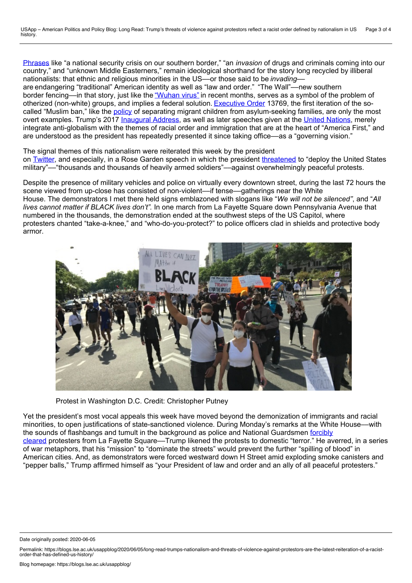[Phrases](https://twitter.com/realDonaldTrump/status/1010900865602019329?s=200) like "a national security crisis on our southern border," "an *invasion* of drugs and criminals coming into our country," and "unknown Middle Easterners," remain ideological shorthand for the story long recycled by illiberal nationalists: that ethnic and religious minorities in the US––or those said to be *invading*–– are endangering "traditional" American identity as well as "law and order." "The Wall"––new southern border fencing—in that story, just like the ["Wuhan](https://www.theatlantic.com/ideas/archive/2020/03/stop-trying-make-wuhan-virus-happen/607786/) virus" in recent months, serves as a symbol of the problem of otherized (non-white) groups, and implies a federal solution. [Executive](https://www.whitehouse.gov/presidential-actions/executive-order-protecting-nation-foreign-terrorist-entry-united-states-2/) Order 13769, the first iteration of the so called "Muslim ban," like the [policy](https://www.splcenter.org/news/2019/09/24/family-separation-under-trump-administration-timeline) of separating migrant children from asylum-seeking families, are only the most overt examples. Trump's 2017 [Inaugural](https://www.nbcnews.com/storyline/inauguration-2017/inaugural-address-trump-pledges-message-america-first-n709691) Address, as well as later speeches given at the United [Nations](https://www.whitehouse.gov/briefings-statements/remarks-president-trump-74th-session-united-nations-general-assembly/), merely integrate anti-globalism with the themes of racial order and immigration that are at the heart of "America First," and are understood as the president has repeatedly presented it since taking office––as a "governing vision."

The signal themes of this nationalism were reiterated this week by the president on [Twitter,](https://twitter.com/realDonaldTrump/status/1268037166946553856?s=20) and especially, in a Rose Garden speech in which the president [threatened](https://www.washingtonpost.com/video/politics/watch-trumps-full-june-1-address-at-the-rose-garden/2020/06/01/88832d43-1609-4cfa-b59c-441d3a84a74c_video.html) to "deploy the United States military"––"thousands and thousands of heavily armed soldiers"––against overwhelmingly peaceful protests.

Despite the presence of military vehicles and police on virtually every downtown street, during the last 72 hours the scene viewed from up-close has consisted of non-violent---if tense--gatherings near the White House. The demonstrators I met there held signs emblazoned with slogans like "*We will not be silenced"*, and "*All lives cannot matter if BLACK lives don't".* In one march from La Fayette Square down Pennsylvania Avenue that numbered in the thousands, the demonstration ended at the southwest steps of the US Capitol, where protesters chanted "take-a-knee," and "who-do-you-protect?" to police officers clad in shields and protective body armor.



Protest in Washington D.C. Credit: Christopher Putney

Yet the president's most vocal appeals this week have moved beyond the demonization of immigrants and racial minorities, to open justifications of state-sanctioned violence. During Monday's remarks at the White House––with the sounds of flashbangs and tumult in the background as police and National Guardsmen forcibly cleared protesters from La Fayette [Square––Trump](https://www.npr.org/2020/06/01/867532070/trumps-unannounced-church-visit-angers-church-officials) likened the protests to domestic "terror." He averred, in a series of war metaphors, that his "mission" to "dominate the streets" would prevent the further "spilling of blood" in American cities. And, as demonstrators were forced westward down H Street amid exploding smoke canisters and "pepper balls," Trump affirmed himself as "your President of law and order and an ally of all peaceful protesters."

Date originally posted: 2020-06-05

Permalink: https://blogs.lse.ac.uk/usappblog/2020/06/05/long-read-trumps-nationalism-and-threats-of-violence-against-protestors-are-the-latest-reiteration-of-a-racist- order-that-has-defined-us-history/